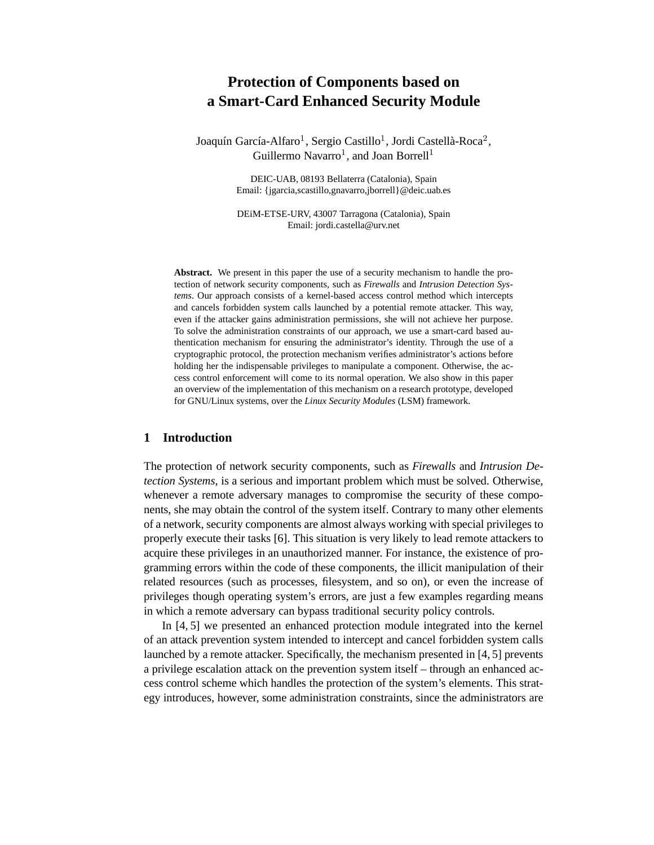# **Protection of Components based on a Smart-Card Enhanced Security Module**

Joaquín García-Alfaro<sup>1</sup>, Sergio Castillo<sup>1</sup>, Jordi Castellà-Roca<sup>2</sup>, Guillermo Navarro<sup>1</sup>, and Joan Borrell<sup>1</sup>

> DEIC-UAB, 08193 Bellaterra (Catalonia), Spain Email: {jgarcia,scastillo,gnavarro,jborrell}@deic.uab.es

> DEiM-ETSE-URV, 43007 Tarragona (Catalonia), Spain Email: jordi.castella@urv.net

**Abstract.** We present in this paper the use of a security mechanism to handle the protection of network security components, such as *Firewalls* and *Intrusion Detection Systems*. Our approach consists of a kernel-based access control method which intercepts and cancels forbidden system calls launched by a potential remote attacker. This way, even if the attacker gains administration permissions, she will not achieve her purpose. To solve the administration constraints of our approach, we use a smart-card based authentication mechanism for ensuring the administrator's identity. Through the use of a cryptographic protocol, the protection mechanism verifies administrator's actions before holding her the indispensable privileges to manipulate a component. Otherwise, the access control enforcement will come to its normal operation. We also show in this paper an overview of the implementation of this mechanism on a research prototype, developed for GNU/Linux systems, over the *Linux Security Modules* (LSM) framework.

### **1 Introduction**

The protection of network security components, such as *Firewalls* and *Intrusion Detection Systems*, is a serious and important problem which must be solved. Otherwise, whenever a remote adversary manages to compromise the security of these components, she may obtain the control of the system itself. Contrary to many other elements of a network, security components are almost always working with special privileges to properly execute their tasks [6]. This situation is very likely to lead remote attackers to acquire these privileges in an unauthorized manner. For instance, the existence of programming errors within the code of these components, the illicit manipulation of their related resources (such as processes, filesystem, and so on), or even the increase of privileges though operating system's errors, are just a few examples regarding means in which a remote adversary can bypass traditional security policy controls.

In [4, 5] we presented an enhanced protection module integrated into the kernel of an attack prevention system intended to intercept and cancel forbidden system calls launched by a remote attacker. Specifically, the mechanism presented in [4, 5] prevents a privilege escalation attack on the prevention system itself – through an enhanced access control scheme which handles the protection of the system's elements. This strategy introduces, however, some administration constraints, since the administrators are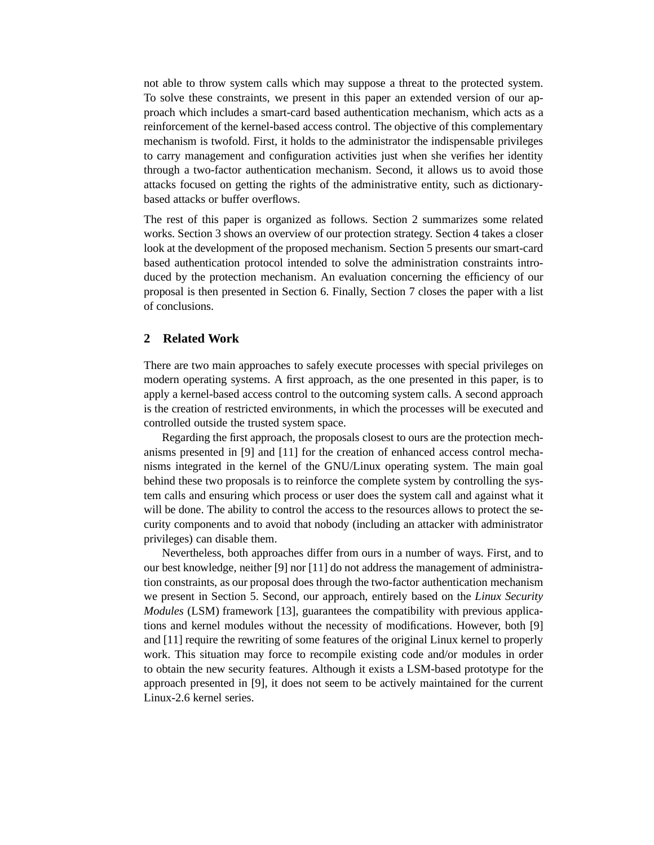not able to throw system calls which may suppose a threat to the protected system. To solve these constraints, we present in this paper an extended version of our approach which includes a smart-card based authentication mechanism, which acts as a reinforcement of the kernel-based access control. The objective of this complementary mechanism is twofold. First, it holds to the administrator the indispensable privileges to carry management and configuration activities just when she verifies her identity through a two-factor authentication mechanism. Second, it allows us to avoid those attacks focused on getting the rights of the administrative entity, such as dictionarybased attacks or buffer overflows.

The rest of this paper is organized as follows. Section 2 summarizes some related works. Section 3 shows an overview of our protection strategy. Section 4 takes a closer look at the development of the proposed mechanism. Section 5 presents our smart-card based authentication protocol intended to solve the administration constraints introduced by the protection mechanism. An evaluation concerning the efficiency of our proposal is then presented in Section 6. Finally, Section 7 closes the paper with a list of conclusions.

## **2 Related Work**

There are two main approaches to safely execute processes with special privileges on modern operating systems. A first approach, as the one presented in this paper, is to apply a kernel-based access control to the outcoming system calls. A second approach is the creation of restricted environments, in which the processes will be executed and controlled outside the trusted system space.

Regarding the first approach, the proposals closest to ours are the protection mechanisms presented in [9] and [11] for the creation of enhanced access control mechanisms integrated in the kernel of the GNU/Linux operating system. The main goal behind these two proposals is to reinforce the complete system by controlling the system calls and ensuring which process or user does the system call and against what it will be done. The ability to control the access to the resources allows to protect the security components and to avoid that nobody (including an attacker with administrator privileges) can disable them.

Nevertheless, both approaches differ from ours in a number of ways. First, and to our best knowledge, neither [9] nor [11] do not address the management of administration constraints, as our proposal does through the two-factor authentication mechanism we present in Section 5. Second, our approach, entirely based on the *Linux Security Modules* (LSM) framework [13], guarantees the compatibility with previous applications and kernel modules without the necessity of modifications. However, both [9] and [11] require the rewriting of some features of the original Linux kernel to properly work. This situation may force to recompile existing code and/or modules in order to obtain the new security features. Although it exists a LSM-based prototype for the approach presented in [9], it does not seem to be actively maintained for the current Linux-2.6 kernel series.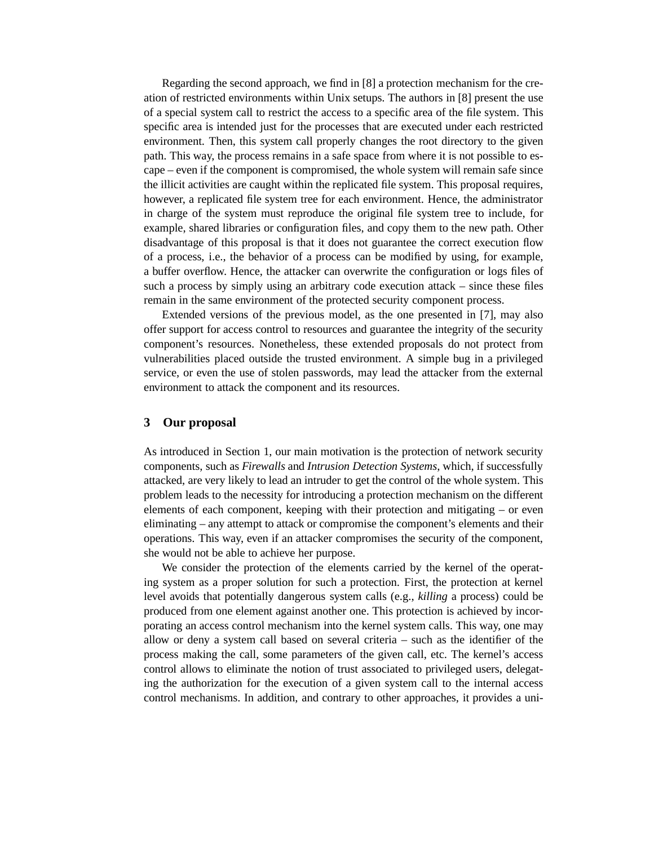Regarding the second approach, we find in [8] a protection mechanism for the creation of restricted environments within Unix setups. The authors in [8] present the use of a special system call to restrict the access to a specific area of the file system. This specific area is intended just for the processes that are executed under each restricted environment. Then, this system call properly changes the root directory to the given path. This way, the process remains in a safe space from where it is not possible to escape – even if the component is compromised, the whole system will remain safe since the illicit activities are caught within the replicated file system. This proposal requires, however, a replicated file system tree for each environment. Hence, the administrator in charge of the system must reproduce the original file system tree to include, for example, shared libraries or configuration files, and copy them to the new path. Other disadvantage of this proposal is that it does not guarantee the correct execution flow of a process, i.e., the behavior of a process can be modified by using, for example, a buffer overflow. Hence, the attacker can overwrite the configuration or logs files of such a process by simply using an arbitrary code execution attack – since these files remain in the same environment of the protected security component process.

Extended versions of the previous model, as the one presented in [7], may also offer support for access control to resources and guarantee the integrity of the security component's resources. Nonetheless, these extended proposals do not protect from vulnerabilities placed outside the trusted environment. A simple bug in a privileged service, or even the use of stolen passwords, may lead the attacker from the external environment to attack the component and its resources.

## **3 Our proposal**

As introduced in Section 1, our main motivation is the protection of network security components, such as *Firewalls* and *Intrusion Detection Systems*, which, if successfully attacked, are very likely to lead an intruder to get the control of the whole system. This problem leads to the necessity for introducing a protection mechanism on the different elements of each component, keeping with their protection and mitigating – or even eliminating – any attempt to attack or compromise the component's elements and their operations. This way, even if an attacker compromises the security of the component, she would not be able to achieve her purpose.

We consider the protection of the elements carried by the kernel of the operating system as a proper solution for such a protection. First, the protection at kernel level avoids that potentially dangerous system calls (e.g., *killing* a process) could be produced from one element against another one. This protection is achieved by incorporating an access control mechanism into the kernel system calls. This way, one may allow or deny a system call based on several criteria – such as the identifier of the process making the call, some parameters of the given call, etc. The kernel's access control allows to eliminate the notion of trust associated to privileged users, delegating the authorization for the execution of a given system call to the internal access control mechanisms. In addition, and contrary to other approaches, it provides a uni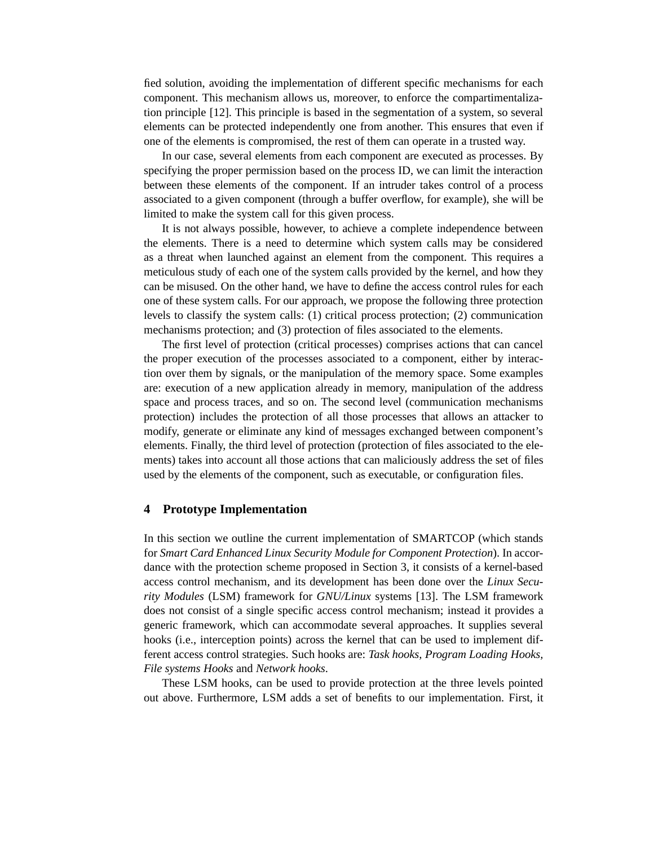fied solution, avoiding the implementation of different specific mechanisms for each component. This mechanism allows us, moreover, to enforce the compartimentalization principle [12]. This principle is based in the segmentation of a system, so several elements can be protected independently one from another. This ensures that even if one of the elements is compromised, the rest of them can operate in a trusted way.

In our case, several elements from each component are executed as processes. By specifying the proper permission based on the process ID, we can limit the interaction between these elements of the component. If an intruder takes control of a process associated to a given component (through a buffer overflow, for example), she will be limited to make the system call for this given process.

It is not always possible, however, to achieve a complete independence between the elements. There is a need to determine which system calls may be considered as a threat when launched against an element from the component. This requires a meticulous study of each one of the system calls provided by the kernel, and how they can be misused. On the other hand, we have to define the access control rules for each one of these system calls. For our approach, we propose the following three protection levels to classify the system calls: (1) critical process protection; (2) communication mechanisms protection; and (3) protection of files associated to the elements.

The first level of protection (critical processes) comprises actions that can cancel the proper execution of the processes associated to a component, either by interaction over them by signals, or the manipulation of the memory space. Some examples are: execution of a new application already in memory, manipulation of the address space and process traces, and so on. The second level (communication mechanisms protection) includes the protection of all those processes that allows an attacker to modify, generate or eliminate any kind of messages exchanged between component's elements. Finally, the third level of protection (protection of files associated to the elements) takes into account all those actions that can maliciously address the set of files used by the elements of the component, such as executable, or configuration files.

# **4 Prototype Implementation**

In this section we outline the current implementation of SMARTCOP (which stands for *Smart Card Enhanced Linux Security Module for Component Protection*). In accordance with the protection scheme proposed in Section 3, it consists of a kernel-based access control mechanism, and its development has been done over the *Linux Security Modules* (LSM) framework for *GNU/Linux* systems [13]. The LSM framework does not consist of a single specific access control mechanism; instead it provides a generic framework, which can accommodate several approaches. It supplies several hooks (i.e., interception points) across the kernel that can be used to implement different access control strategies. Such hooks are: *Task hooks, Program Loading Hooks, File systems Hooks* and *Network hooks*.

These LSM hooks, can be used to provide protection at the three levels pointed out above. Furthermore, LSM adds a set of benefits to our implementation. First, it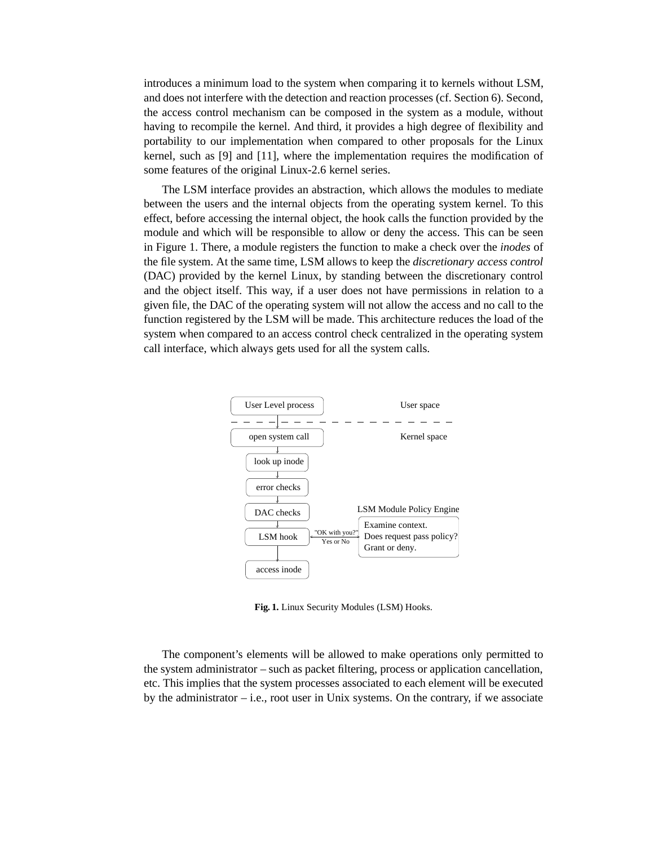introduces a minimum load to the system when comparing it to kernels without LSM, and does not interfere with the detection and reaction processes (cf. Section 6). Second, the access control mechanism can be composed in the system as a module, without having to recompile the kernel. And third, it provides a high degree of flexibility and portability to our implementation when compared to other proposals for the Linux kernel, such as [9] and [11], where the implementation requires the modification of some features of the original Linux-2.6 kernel series.

The LSM interface provides an abstraction, which allows the modules to mediate between the users and the internal objects from the operating system kernel. To this effect, before accessing the internal object, the hook calls the function provided by the module and which will be responsible to allow or deny the access. This can be seen in Figure 1. There, a module registers the function to make a check over the *inodes* of the file system. At the same time, LSM allows to keep the *discretionary access control* (DAC) provided by the kernel Linux, by standing between the discretionary control and the object itself. This way, if a user does not have permissions in relation to a given file, the DAC of the operating system will not allow the access and no call to the function registered by the LSM will be made. This architecture reduces the load of the system when compared to an access control check centralized in the operating system call interface, which always gets used for all the system calls.



**Fig. 1.** Linux Security Modules (LSM) Hooks.

The component's elements will be allowed to make operations only permitted to the system administrator – such as packet filtering, process or application cancellation, etc. This implies that the system processes associated to each element will be executed by the administrator – i.e., root user in Unix systems. On the contrary, if we associate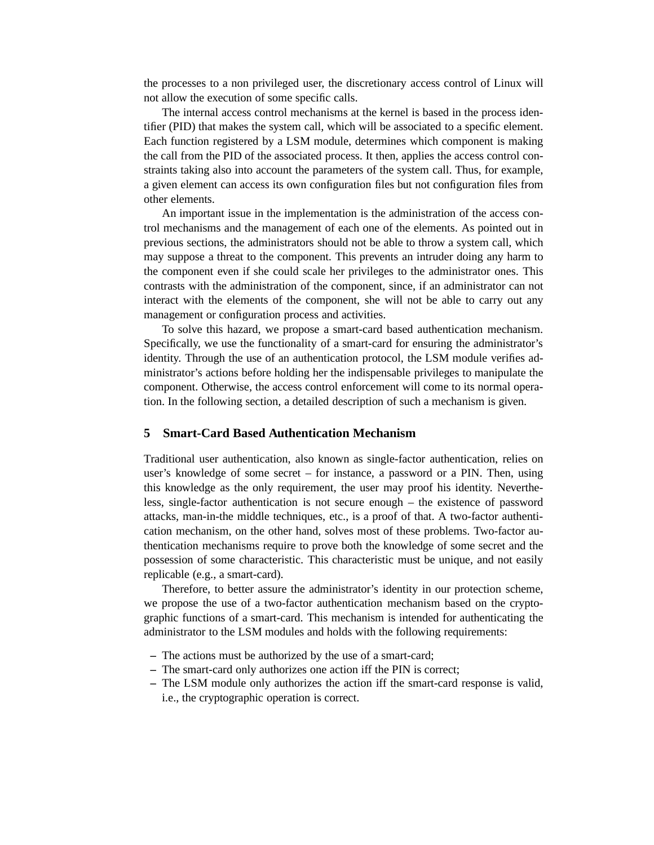the processes to a non privileged user, the discretionary access control of Linux will not allow the execution of some specific calls.

The internal access control mechanisms at the kernel is based in the process identifier (PID) that makes the system call, which will be associated to a specific element. Each function registered by a LSM module, determines which component is making the call from the PID of the associated process. It then, applies the access control constraints taking also into account the parameters of the system call. Thus, for example, a given element can access its own configuration files but not configuration files from other elements.

An important issue in the implementation is the administration of the access control mechanisms and the management of each one of the elements. As pointed out in previous sections, the administrators should not be able to throw a system call, which may suppose a threat to the component. This prevents an intruder doing any harm to the component even if she could scale her privileges to the administrator ones. This contrasts with the administration of the component, since, if an administrator can not interact with the elements of the component, she will not be able to carry out any management or configuration process and activities.

To solve this hazard, we propose a smart-card based authentication mechanism. Specifically, we use the functionality of a smart-card for ensuring the administrator's identity. Through the use of an authentication protocol, the LSM module verifies administrator's actions before holding her the indispensable privileges to manipulate the component. Otherwise, the access control enforcement will come to its normal operation. In the following section, a detailed description of such a mechanism is given.

# **5 Smart-Card Based Authentication Mechanism**

Traditional user authentication, also known as single-factor authentication, relies on user's knowledge of some secret – for instance, a password or a PIN. Then, using this knowledge as the only requirement, the user may proof his identity. Nevertheless, single-factor authentication is not secure enough – the existence of password attacks, man-in-the middle techniques, etc., is a proof of that. A two-factor authentication mechanism, on the other hand, solves most of these problems. Two-factor authentication mechanisms require to prove both the knowledge of some secret and the possession of some characteristic. This characteristic must be unique, and not easily replicable (e.g., a smart-card).

Therefore, to better assure the administrator's identity in our protection scheme, we propose the use of a two-factor authentication mechanism based on the cryptographic functions of a smart-card. This mechanism is intended for authenticating the administrator to the LSM modules and holds with the following requirements:

- **–** The actions must be authorized by the use of a smart-card;
- **–** The smart-card only authorizes one action iff the PIN is correct;
- **–** The LSM module only authorizes the action iff the smart-card response is valid, i.e., the cryptographic operation is correct.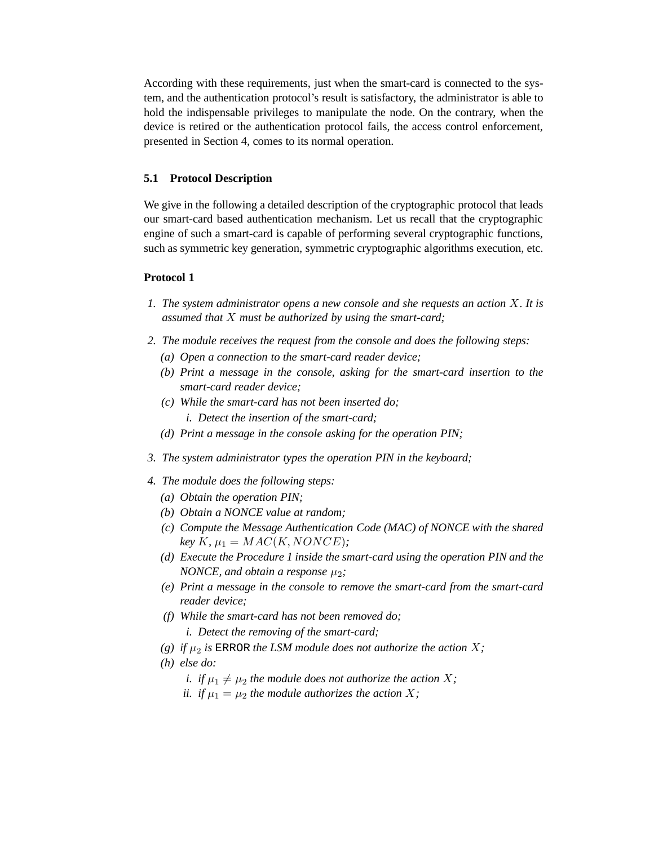According with these requirements, just when the smart-card is connected to the system, and the authentication protocol's result is satisfactory, the administrator is able to hold the indispensable privileges to manipulate the node. On the contrary, when the device is retired or the authentication protocol fails, the access control enforcement, presented in Section 4, comes to its normal operation.

#### **5.1 Protocol Description**

We give in the following a detailed description of the cryptographic protocol that leads our smart-card based authentication mechanism. Let us recall that the cryptographic engine of such a smart-card is capable of performing several cryptographic functions, such as symmetric key generation, symmetric cryptographic algorithms execution, etc.

## **Protocol 1**

- *1. The system administrator opens a new console and she requests an action* X*. It is assumed that* X *must be authorized by using the smart-card;*
- *2. The module receives the request from the console and does the following steps:*
	- *(a) Open a connection to the smart-card reader device;*
	- *(b) Print a message in the console, asking for the smart-card insertion to the smart-card reader device;*
	- *(c) While the smart-card has not been inserted do; i. Detect the insertion of the smart-card;*
	- *(d) Print a message in the console asking for the operation PIN;*
- *3. The system administrator types the operation PIN in the keyboard;*
- *4. The module does the following steps:*
	- *(a) Obtain the operation PIN;*
	- *(b) Obtain a NONCE value at random;*
	- *(c) Compute the Message Authentication Code (MAC) of NONCE with the shared*  $key K$ ,  $\mu_1 = MAC(K, NONCE)$ ;
	- *(d) Execute the Procedure 1 inside the smart-card using the operation PIN and the NONCE, and obtain a response*  $\mu_2$ ;
	- *(e) Print a message in the console to remove the smart-card from the smart-card reader device;*
	- *(f) While the smart-card has not been removed do; i. Detect the removing of the smart-card;*
	- *(g)* if  $\mu_2$  is ERROR the LSM module does not authorize the action X;
	- *(h) else do:*
		- *i.* if  $\mu_1 \neq \mu_2$  the module does not authorize the action X;
		- *ii. if*  $\mu_1 = \mu_2$  *the module authorizes the action* X*;*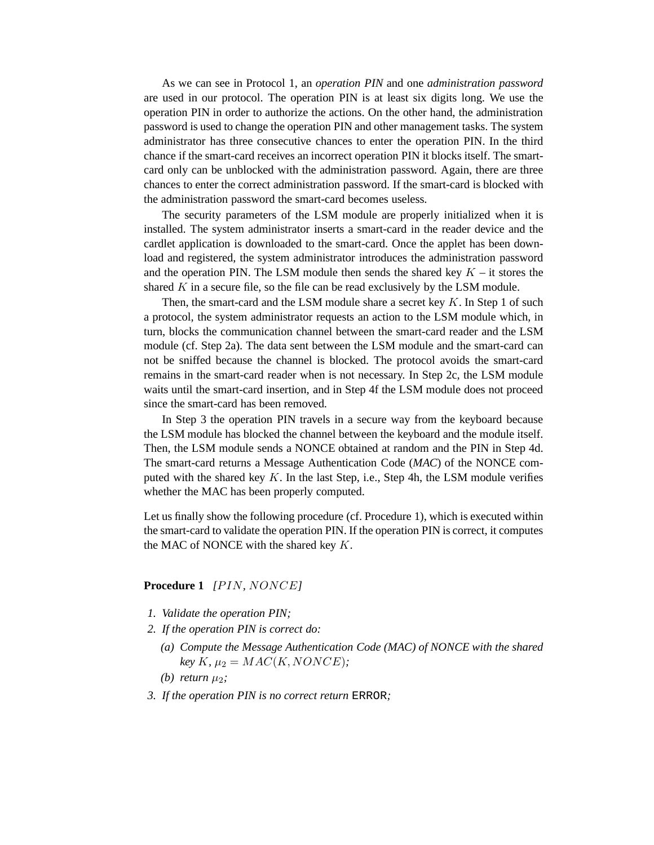As we can see in Protocol 1, an *operation PIN* and one *administration password* are used in our protocol. The operation PIN is at least six digits long. We use the operation PIN in order to authorize the actions. On the other hand, the administration password is used to change the operation PIN and other management tasks. The system administrator has three consecutive chances to enter the operation PIN. In the third chance if the smart-card receives an incorrect operation PIN it blocks itself. The smartcard only can be unblocked with the administration password. Again, there are three chances to enter the correct administration password. If the smart-card is blocked with the administration password the smart-card becomes useless.

The security parameters of the LSM module are properly initialized when it is installed. The system administrator inserts a smart-card in the reader device and the cardlet application is downloaded to the smart-card. Once the applet has been download and registered, the system administrator introduces the administration password and the operation PIN. The LSM module then sends the shared key  $K - i$  it stores the shared  $K$  in a secure file, so the file can be read exclusively by the LSM module.

Then, the smart-card and the LSM module share a secret key  $K$ . In Step 1 of such a protocol, the system administrator requests an action to the LSM module which, in turn, blocks the communication channel between the smart-card reader and the LSM module (cf. Step 2a). The data sent between the LSM module and the smart-card can not be sniffed because the channel is blocked. The protocol avoids the smart-card remains in the smart-card reader when is not necessary. In Step 2c, the LSM module waits until the smart-card insertion, and in Step 4f the LSM module does not proceed since the smart-card has been removed.

In Step 3 the operation PIN travels in a secure way from the keyboard because the LSM module has blocked the channel between the keyboard and the module itself. Then, the LSM module sends a NONCE obtained at random and the PIN in Step 4d. The smart-card returns a Message Authentication Code (*MAC*) of the NONCE computed with the shared key  $K$ . In the last Step, i.e., Step 4h, the LSM module verifies whether the MAC has been properly computed.

Let us finally show the following procedure (cf. Procedure 1), which is executed within the smart-card to validate the operation PIN. If the operation PIN is correct, it computes the MAC of NONCE with the shared key  $K$ .

## **Procedure 1** *[PIN, NONCE]*

- *1. Validate the operation PIN;*
- *2. If the operation PIN is correct do:*
	- *(a) Compute the Message Authentication Code (MAC) of NONCE with the shared*  $key K$ ,  $\mu_2 = MAC(K, NONCE)$ ;
	- *(b) return*  $\mu_2$ *;*
- *3. If the operation PIN is no correct return* ERROR*;*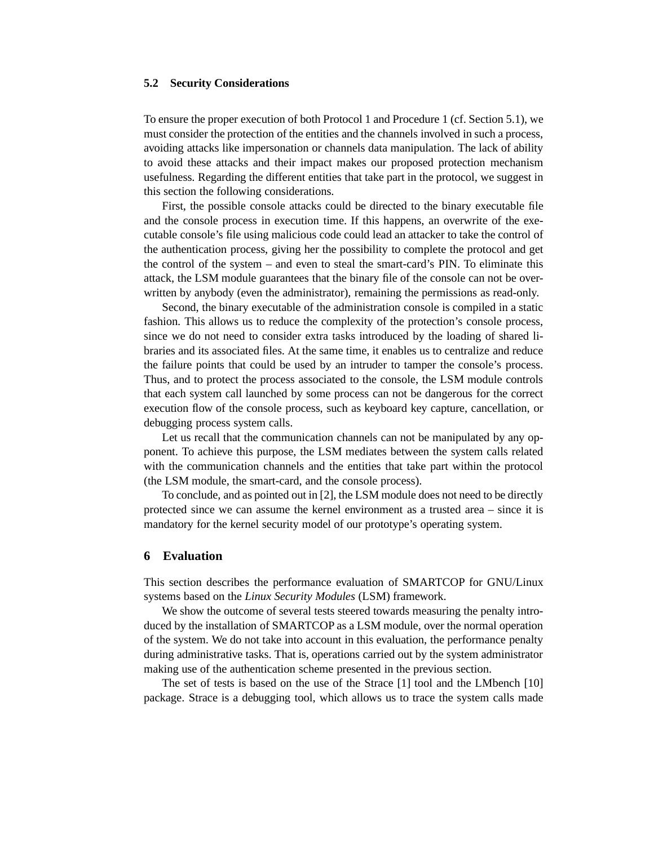#### **5.2 Security Considerations**

To ensure the proper execution of both Protocol 1 and Procedure 1 (cf. Section 5.1), we must consider the protection of the entities and the channels involved in such a process, avoiding attacks like impersonation or channels data manipulation. The lack of ability to avoid these attacks and their impact makes our proposed protection mechanism usefulness. Regarding the different entities that take part in the protocol, we suggest in this section the following considerations.

First, the possible console attacks could be directed to the binary executable file and the console process in execution time. If this happens, an overwrite of the executable console's file using malicious code could lead an attacker to take the control of the authentication process, giving her the possibility to complete the protocol and get the control of the system – and even to steal the smart-card's PIN. To eliminate this attack, the LSM module guarantees that the binary file of the console can not be overwritten by anybody (even the administrator), remaining the permissions as read-only.

Second, the binary executable of the administration console is compiled in a static fashion. This allows us to reduce the complexity of the protection's console process, since we do not need to consider extra tasks introduced by the loading of shared libraries and its associated files. At the same time, it enables us to centralize and reduce the failure points that could be used by an intruder to tamper the console's process. Thus, and to protect the process associated to the console, the LSM module controls that each system call launched by some process can not be dangerous for the correct execution flow of the console process, such as keyboard key capture, cancellation, or debugging process system calls.

Let us recall that the communication channels can not be manipulated by any opponent. To achieve this purpose, the LSM mediates between the system calls related with the communication channels and the entities that take part within the protocol (the LSM module, the smart-card, and the console process).

To conclude, and as pointed out in [2], the LSM module does not need to be directly protected since we can assume the kernel environment as a trusted area – since it is mandatory for the kernel security model of our prototype's operating system.

#### **6 Evaluation**

This section describes the performance evaluation of SMARTCOP for GNU/Linux systems based on the *Linux Security Modules* (LSM) framework.

We show the outcome of several tests steered towards measuring the penalty introduced by the installation of SMARTCOP as a LSM module, over the normal operation of the system. We do not take into account in this evaluation, the performance penalty during administrative tasks. That is, operations carried out by the system administrator making use of the authentication scheme presented in the previous section.

The set of tests is based on the use of the Strace [1] tool and the LMbench [10] package. Strace is a debugging tool, which allows us to trace the system calls made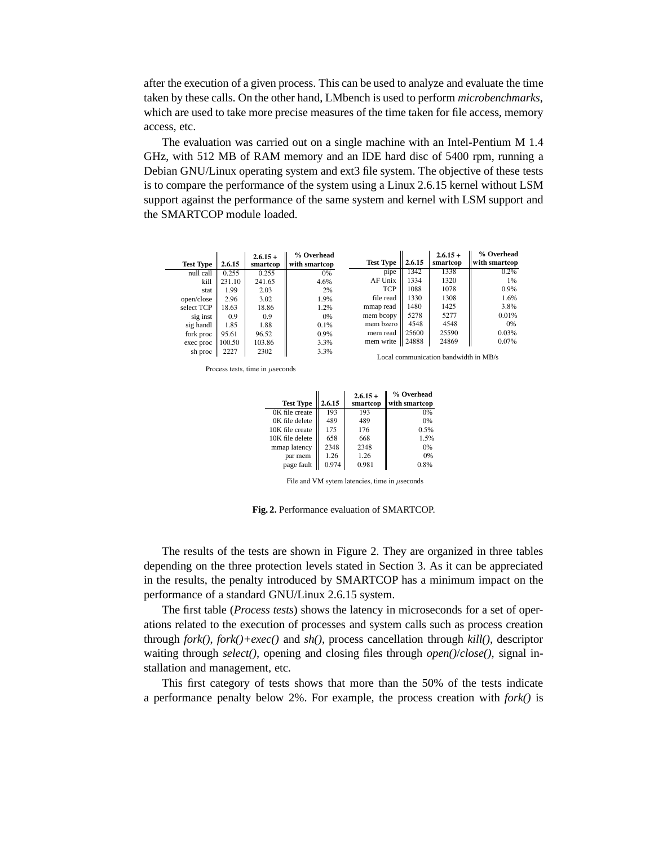after the execution of a given process. This can be used to analyze and evaluate the time taken by these calls. On the other hand, LMbench is used to perform *microbenchmarks*, which are used to take more precise measures of the time taken for file access, memory access, etc.

The evaluation was carried out on a single machine with an Intel-Pentium M 1.4 GHz, with 512 MB of RAM memory and an IDE hard disc of 5400 rpm, running a Debian GNU/Linux operating system and ext3 file system. The objective of these tests is to compare the performance of the system using a Linux 2.6.15 kernel without LSM support against the performance of the same system and kernel with LSM support and the SMARTCOP module loaded.

|                  |        | $2.6.15 +$ | % Overhead    |                  |        | $2.6.15 +$                                                 | % Overhead    |
|------------------|--------|------------|---------------|------------------|--------|------------------------------------------------------------|---------------|
| <b>Test Type</b> | 2.6.15 | smartcop   | with smartcop | <b>Test Type</b> | 2.6.15 | smartcop                                                   | with smartcop |
| null call        | 0.255  | 0.255      | 0%            | pipe             | 1342   | 1338                                                       | 0.2%          |
| kill             | 231.10 | 241.65     | 4.6%          | AF Unix          | 1334   | 1320                                                       | 1%            |
| stat             | 1.99   | 2.03       | 2%            | <b>TCP</b>       | 1088   | 1078                                                       | 0.9%          |
| open/close       | 2.96   | 3.02       | 1.9%          | file read        | 1330   | 1308                                                       | 1.6%          |
| select TCP       | 18.63  | 18.86      | 1.2%          | mmap read        | 1480   | 1425                                                       | 3.8%          |
| sig inst         | 0.9    | 0.9        | 0%            | mem bcopy        | 5278   | 5277                                                       | 0.01%         |
| sig handl        | 1.85   | 1.88       | 0.1%          | mem bzero        | 4548   | 4548                                                       | 0%            |
| fork proc        | 95.61  | 96.52      | 0.9%          | mem read         | 25600  | 25590                                                      | 0.03%         |
| exec proc        | 100.50 | 103.86     | 3.3%          | mem write        | 24888  | 24869                                                      | 0.07%         |
| sh proc          | 2227   | 2302       | 3.3%          |                  |        |                                                            |               |
|                  |        |            |               |                  |        | Local communication bandwidth in $\mathbf{M} \mathbf{D}/c$ |               |

Process tests, time in  $\mu$ seconds

Local communication bandwidth in MB/s

| <b>Test Type</b> | 2.6.15 | $2.6.15 +$<br>smartcop | % Overhead<br>with smartcop |
|------------------|--------|------------------------|-----------------------------|
| 0K file create   | 193    | 193                    | 0%                          |
| 0K file delete   | 489    | 489                    | 0%                          |
| 10K file create  | 175    | 176                    | 0.5%                        |
| 10K file delete  | 658    | 668                    | 1.5%                        |
| mmap latency     | 2348   | 2348                   | 0%                          |
| par mem          | 1.26   | 1.26                   | 0%                          |
| page fault       | 0.974  | 0.981                  | 0.8%                        |

File and VM sytem latencies, time in  $\mu$ seconds

**Fig. 2.** Performance evaluation of SMARTCOP.

The results of the tests are shown in Figure 2. They are organized in three tables depending on the three protection levels stated in Section 3. As it can be appreciated in the results, the penalty introduced by SMARTCOP has a minimum impact on the performance of a standard GNU/Linux 2.6.15 system.

The first table (*Process tests*) shows the latency in microseconds for a set of operations related to the execution of processes and system calls such as process creation through *fork()*, *fork()+exec()* and *sh()*, process cancellation through *kill()*, descriptor waiting through *select()*, opening and closing files through *open()*/*close()*, signal installation and management, etc.

This first category of tests shows that more than the 50% of the tests indicate a performance penalty below 2%. For example, the process creation with *fork()* is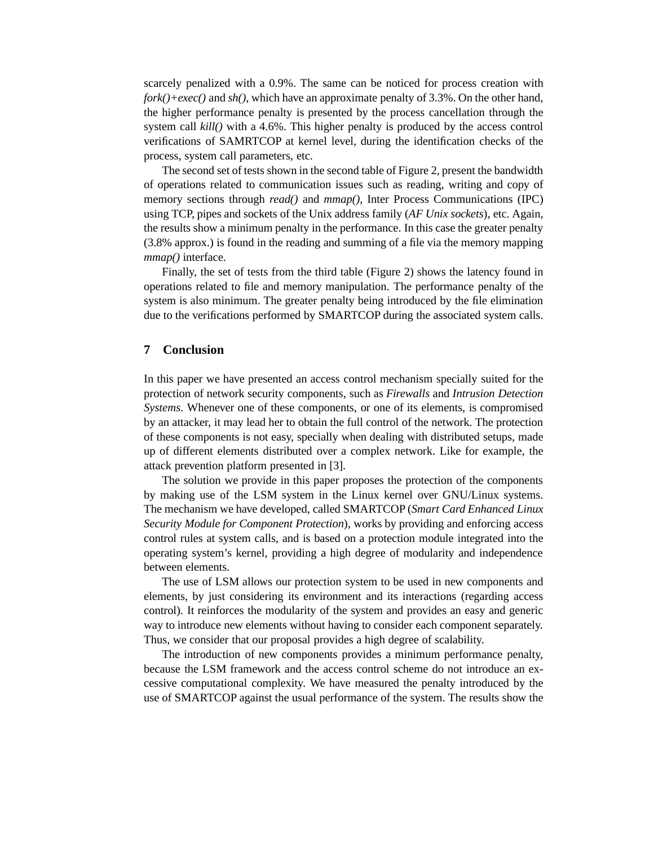scarcely penalized with a 0.9%. The same can be noticed for process creation with *fork()+exec()* and *sh()*, which have an approximate penalty of 3.3%. On the other hand, the higher performance penalty is presented by the process cancellation through the system call *kill()* with a 4.6%. This higher penalty is produced by the access control verifications of SAMRTCOP at kernel level, during the identification checks of the process, system call parameters, etc.

The second set of tests shown in the second table of Figure 2, present the bandwidth of operations related to communication issues such as reading, writing and copy of memory sections through *read()* and *mmap()*, Inter Process Communications (IPC) using TCP, pipes and sockets of the Unix address family (*AF Unix sockets*), etc. Again, the results show a minimum penalty in the performance. In this case the greater penalty (3.8% approx.) is found in the reading and summing of a file via the memory mapping *mmap()* interface.

Finally, the set of tests from the third table (Figure 2) shows the latency found in operations related to file and memory manipulation. The performance penalty of the system is also minimum. The greater penalty being introduced by the file elimination due to the verifications performed by SMARTCOP during the associated system calls.

#### **7 Conclusion**

In this paper we have presented an access control mechanism specially suited for the protection of network security components, such as *Firewalls* and *Intrusion Detection Systems*. Whenever one of these components, or one of its elements, is compromised by an attacker, it may lead her to obtain the full control of the network. The protection of these components is not easy, specially when dealing with distributed setups, made up of different elements distributed over a complex network. Like for example, the attack prevention platform presented in [3].

The solution we provide in this paper proposes the protection of the components by making use of the LSM system in the Linux kernel over GNU/Linux systems. The mechanism we have developed, called SMARTCOP (*Smart Card Enhanced Linux Security Module for Component Protection*), works by providing and enforcing access control rules at system calls, and is based on a protection module integrated into the operating system's kernel, providing a high degree of modularity and independence between elements.

The use of LSM allows our protection system to be used in new components and elements, by just considering its environment and its interactions (regarding access control). It reinforces the modularity of the system and provides an easy and generic way to introduce new elements without having to consider each component separately. Thus, we consider that our proposal provides a high degree of scalability.

The introduction of new components provides a minimum performance penalty, because the LSM framework and the access control scheme do not introduce an excessive computational complexity. We have measured the penalty introduced by the use of SMARTCOP against the usual performance of the system. The results show the